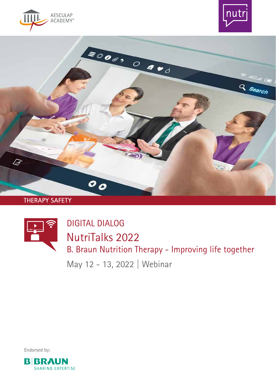





**THERAPY SAFETY**



DIGITAL DIALOG NutriTalks 2022 B. Braun Nutrition Therapy - Improving life together

May 12 - 13, 2022 | Webinar

Endorsed by:

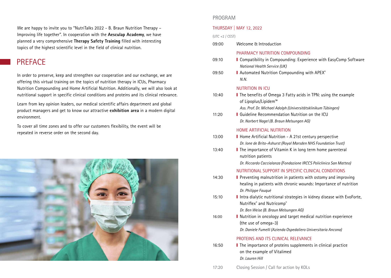We are happy to invite you to "NutriTalks 2022 - B. Braun Nutrition Therapy – Improving life together". In cooperation with the **Aesculap Academy**, we have planned a very comprehensive **Therapy Safety Training** filled with interesting topics of the highest scientific level in the field of clinical nutrition.

# PREFACE

In order to preserve, keep and strengthen our cooperation and our exchange, we are offering this virtual training on the topics of nutrition therapy in ICUs, Pharmacy Nutrition Compounding and Home Artificial Nutrition. Additionally, we will also look at nutritional support in specific clinical conditions and proteins and its clinical relevance.

Learn from key opinion leaders, our medical scientific affairs department and global product managers and get to know our attractive **exhibition area** in a modern digital environment.

To cover all time zones and to offer our customers flexibility, the event will be repeated in reverse order on the second day.



# PROGRAM

## THURSDAY | MAY 12, 2022

### $(UTC + 2 / CFST)$

| 09:00 | Welcome & Introduction                                                                                                                                   |
|-------|----------------------------------------------------------------------------------------------------------------------------------------------------------|
| 09:10 | PHARMACY NUTRITION COMPOUNDING<br>I Compatibility in Compounding: Experience with EasyComp Software<br><b>National Health Service (UK)</b>               |
| 09:50 | I Automated Nutrition Compounding with APEX®<br>N.N.                                                                                                     |
|       | <b>NUTRITION IN ICU</b>                                                                                                                                  |
| 10:40 | I The benefits of Omega 3 Fatty acids in TPN: using the example<br>of Lipoplus/Lipidem™                                                                  |
|       | Ass. Prof. Dr. Michael Adolph (Universitätsklinikum Tübingen)                                                                                            |
| 11:20 | <b>I</b> Guideline Recommendation Nutrition on the ICU<br>Dr. Norbert Nagel (B. Braun Melsungen AG)                                                      |
|       | HOME ARTIFICIAL NUTRITION                                                                                                                                |
| 13:00 | Home Artificial Nutrition - A 21st century perspective<br>Dr. Ione de Brito-Ashurst (Royal Marsden NHS Foundation Trust)                                 |
| 13:40 | I The importance of Vitamin K in long term home parenteral<br>nutrition patients                                                                         |
|       | Dr. Riccardo Caccialanza (Fondazione IRCCS Policlinico San Matteo)                                                                                       |
|       | NUTRITIONAL SUPPORT IN SPECIFIC CLINICAL CONDITIONS                                                                                                      |
| 14:30 | Preventing malnutrition in patients with ostomy and improving<br>healing in patients with chronic wounds: Importance of nutrition<br>Dr. Philippe Fauqué |
| 15:10 | I Intra dialytic nutritional strategies in kidney disease with EvoForte,<br>Nutriflex® and Nutricomp®                                                    |
|       | Dr. Ben Weise (B. Braun Melsungen AG)                                                                                                                    |
| 16:00 | I Nutrition in oncology and target medical nutrition experience<br>(the use of omega-3)                                                                  |
|       | Dr. Daniele Fumelli (Azienda Ospedaliero Universitaria Ancona)                                                                                           |
|       | PROTEINS AND ITS CLINICAL RELEVANCE                                                                                                                      |
| 16:50 | I The importance of proteins supplements in clinical practice<br>on the example of Vitalimed<br>Dr. Lauren Hill                                          |
| 17:20 | Closing Session / Call for action by KOLs                                                                                                                |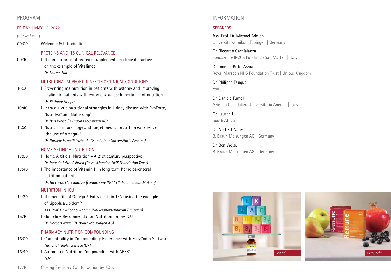# PROGRAM

#### FRIDAY | MAY 13, 2022

 $(UTC + 2 / CEST)$ 

09:00 Welcome & Introduction

#### PROTEINS AND ITS CLINICAL RELEVANCE

09:10 **I** The importance of proteins supplements in clinical practice on the example of Vitalimed  *Dr. Lauren Hill*

#### NUTRITIONAL SUPPORT IN SPECIFIC CLINICAL CONDITIONS

10:00 **I** Preventing malnutrition in patients with ostomy and improving healing in patients with chronic wounds: Importance of nutrition  *Dr. Philippe Fauqué* 

10:40 **I** Intra dialytic nutritional strategies in kidney disease with EvoForte, Nutriflex® and Nutricomp®

 *Dr. Ben Weise (B. Braun Melsungen AG)*

11:30 **I** Nutrition in oncology and target medical nutrition experience (the use of omega-3) *Dr. Daniele Fumelli (Azienda Ospedaliero Universitaria Ancona)*

#### HOME ARTIFICIAL NUTRITION

- 13:00 **I** Home Artificial Nutrition A 21st century perspective *Dr. Ione de Brito-Ashurst (Royal Marsden NHS Foundation Trust)*
- 13:40 **I** The importance of Vitamin K in long term home parenteral nutrition patients

*Dr. Riccardo Caccialanza (Fondazione IRCCS Policlinico San Matteo)*

## NUTRITION IN ICU

- 14:30 **I** The benefits of Omega 3 Fatty acids in TPN: using the example of Lipoplus/Lipidem™ *Ass. Prof. Dr. Michael Adolph (Universitätsklinikum Tübingen)*
- 15:10 **I** Guideline Recommendation Nutrition on the ICU
	- *Dr. Norbert Nagel (B. Braun Melsungen AG)*

#### PHARMACY NUTRITION COMPOUNDING

- 16:00 **I** Compatibility in Compounding: Experience with EasyComp Software *National Health Service (UK)*
- 16:40 **I** Automated Nutrition Compounding with APEX® *N.N.*

# INFORMATION

## **SPEAKERS**

Ass. Prof. Dr. Michael Adolph Universitätsklinikum Tübingen | Germany

Dr. Riccardo Caccialanza Fondazione IRCCS Policlinico San Matteo | Italy

Dr. Ione de Brito-Ashurst Royal Marsden NHS Foundation Trust | United Kingdom

Dr. Philippe Fauqué France

Dr. Daniele Fumelli Azienda Ospedaliero Universitaria Ancona | Italy

Dr. Lauren Hill South Africa

Dr. Norbert Nagel B. Braun Melsungen AG | Germany

Dr. Ben Weise B. Braun Melsungen AG | Germany



17:10 Closing Session / Call for action by KOLs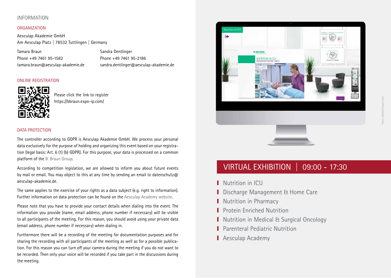# INFORMATION

## ORGANIZATION

Aesculap Akademie GmbH Am Aesculap Platz | 78532 Tuttlingen | Germany

Tamara Braun Sandra Dentlinger Phone +49 7461 95-1582 Phone +49 7461 95-2186

tamara.braun@aesculap-akademie.de sandra.dentlinger@aesculap-akademie.de

## ONLINE REGISTRATION



Please click the link to register <https://bbraun.expo-ip.com/>

## DATA PROTECTION

The controller according to GDPR is Aesculap Akademie GmbH. We process your personal data exclusively for the purpose of holding and organizing this event based on your registration (legal basis: Art. 6 (1) (b) GDPR). For this purpose, your data is processed on a common platform of the [B. Braun Group](https://www.bbraun.com/en/privacy-policy/eu-data-protection-regulation.html?cid=DL:gdpr).

According to competition legislation, we are allowed to inform you about future events by mail or email. You may object to this at any time by sending an email to datenschutz@ aesculap-akademie.de.

The same applies to the exercise of your rights as a data subject (e.g. right to information). Further information on data protection can be found on the [Aesculap Academy website](https://global.aesculap-academy.com/).

Please note that you have to provide your contact details when dialing into the event. The information you provide (name, email address, phone number if necessary) will be visible to all participants of the meeting. For this reason, you should avoid using your private data (email address, phone number if necessary) when dialing in.

Furthermore there will be a recording of the meeting for documentation purposes and for sharing the recording with all participants of the meeting as well as for a possible publication. For this reason you can turn off your camera during the meeting if you do not want to be recorded. Then only your voice will be recorded if you take part in the discussions during the meeting.





# VIRTUAL EXHIBITION | 09:00 - 17:30

- Nutrition in ICU
- Discharge Management & Home Care
- Nutrition in Pharmacy
- ❙ Protein Enriched Nutrition
- Nutrition in Medical & Surgical Oncology
- Parenteral Pediatric Nutrition
- Aesculap Academy